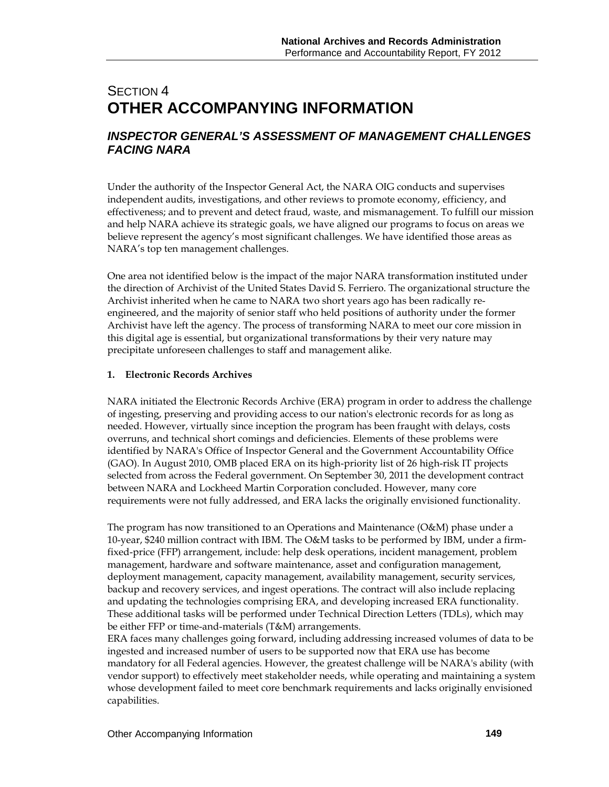# SECTION 4 **OTHER ACCOMPANYING INFORMATION**

### *INSPECTOR GENERAL'S ASSESSMENT OF MANAGEMENT CHALLENGES FACING NARA*

Under the authority of the Inspector General Act, the NARA OIG conducts and supervises independent audits, investigations, and other reviews to promote economy, efficiency, and effectiveness; and to prevent and detect fraud, waste, and mismanagement. To fulfill our mission and help NARA achieve its strategic goals, we have aligned our programs to focus on areas we believe represent the agency's most significant challenges. We have identified those areas as NARA's top ten management challenges.

One area not identified below is the impact of the major NARA transformation instituted under the direction of Archivist of the United States David S. Ferriero. The organizational structure the Archivist inherited when he came to NARA two short years ago has been radically reengineered, and the majority of senior staff who held positions of authority under the former Archivist have left the agency. The process of transforming NARA to meet our core mission in this digital age is essential, but organizational transformations by their very nature may precipitate unforeseen challenges to staff and management alike.

#### **1. Electronic Records Archives**

NARA initiated the Electronic Records Archive (ERA) program in order to address the challenge of ingesting, preserving and providing access to our nation's electronic records for as long as needed. However, virtually since inception the program has been fraught with delays, costs overruns, and technical short comings and deficiencies. Elements of these problems were identified by NARA's Office of Inspector General and the Government Accountability Office (GAO). In August 2010, OMB placed ERA on its high-priority list of 26 high-risk IT projects selected from across the Federal government. On September 30, 2011 the development contract between NARA and Lockheed Martin Corporation concluded. However, many core requirements were not fully addressed, and ERA lacks the originally envisioned functionality.

The program has now transitioned to an Operations and Maintenance (O&M) phase under a 10-year, \$240 million contract with IBM. The O&M tasks to be performed by IBM, under a firmfixed-price (FFP) arrangement, include: help desk operations, incident management, problem management, hardware and software maintenance, asset and configuration management, deployment management, capacity management, availability management, security services, backup and recovery services, and ingest operations. The contract will also include replacing and updating the technologies comprising ERA, and developing increased ERA functionality. These additional tasks will be performed under Technical Direction Letters (TDLs), which may be either FFP or time-and-materials (T&M) arrangements.

ERA faces many challenges going forward, including addressing increased volumes of data to be ingested and increased number of users to be supported now that ERA use has become mandatory for all Federal agencies. However, the greatest challenge will be NARA's ability (with vendor support) to effectively meet stakeholder needs, while operating and maintaining a system whose development failed to meet core benchmark requirements and lacks originally envisioned capabilities.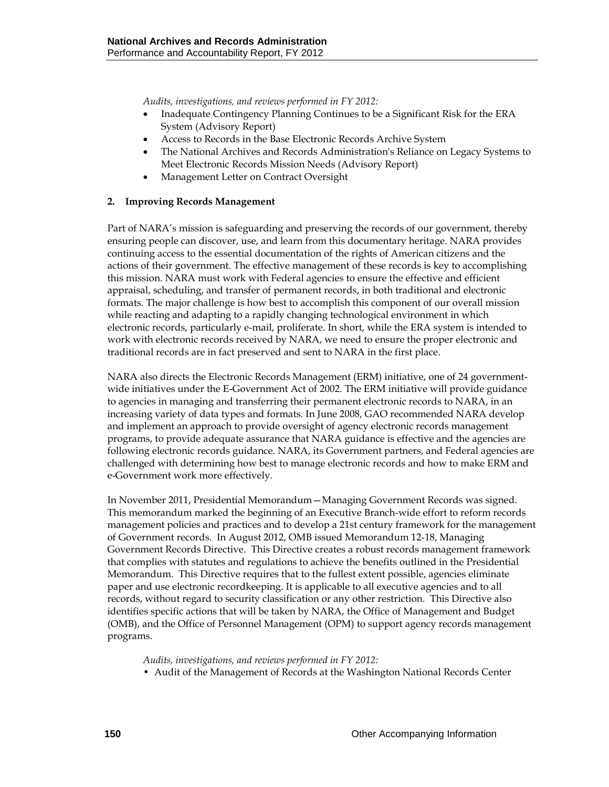*Audits, investigations, and reviews performed in FY 2012:* 

- Inadequate Contingency Planning Continues to be a Significant Risk for the ERA System (Advisory Report)
- Access to Records in the Base Electronic Records Archive System
- The National Archives and Records Administration's Reliance on Legacy Systems to Meet Electronic Records Mission Needs (Advisory Report)
- Management Letter on Contract Oversight

#### **2. Improving Records Management**

Part of NARA's mission is safeguarding and preserving the records of our government, thereby ensuring people can discover, use, and learn from this documentary heritage. NARA provides continuing access to the essential documentation of the rights of American citizens and the actions of their government. The effective management of these records is key to accomplishing this mission. NARA must work with Federal agencies to ensure the effective and efficient appraisal, scheduling, and transfer of permanent records, in both traditional and electronic formats. The major challenge is how best to accomplish this component of our overall mission while reacting and adapting to a rapidly changing technological environment in which electronic records, particularly e-mail, proliferate. In short, while the ERA system is intended to work with electronic records received by NARA, we need to ensure the proper electronic and traditional records are in fact preserved and sent to NARA in the first place.

NARA also directs the Electronic Records Management (ERM) initiative, one of 24 governmentwide initiatives under the E-Government Act of 2002. The ERM initiative will provide guidance to agencies in managing and transferring their permanent electronic records to NARA, in an increasing variety of data types and formats. In June 2008, GAO recommended NARA develop and implement an approach to provide oversight of agency electronic records management programs, to provide adequate assurance that NARA guidance is effective and the agencies are following electronic records guidance. NARA, its Government partners, and Federal agencies are challenged with determining how best to manage electronic records and how to make ERM and e-Government work more effectively.

In November 2011, Presidential Memorandum—Managing Government Records was signed. This memorandum marked the beginning of an Executive Branch-wide effort to reform records management policies and practices and to develop a 21st century framework for the management of Government records. In August 2012, OMB issued Memorandum 12-18, Managing Government Records Directive. This Directive creates a robust records management framework that complies with statutes and regulations to achieve the benefits outlined in the Presidential Memorandum. This Directive requires that to the fullest extent possible, agencies eliminate paper and use electronic recordkeeping. It is applicable to all executive agencies and to all records, without regard to security classification or any other restriction. This Directive also identifies specific actions that will be taken by NARA, the Office of Management and Budget (OMB), and the Office of Personnel Management (OPM) to support agency records management programs.

#### *Audits, investigations, and reviews performed in FY 2012:*

• Audit of the Management of Records at the Washington National Records Center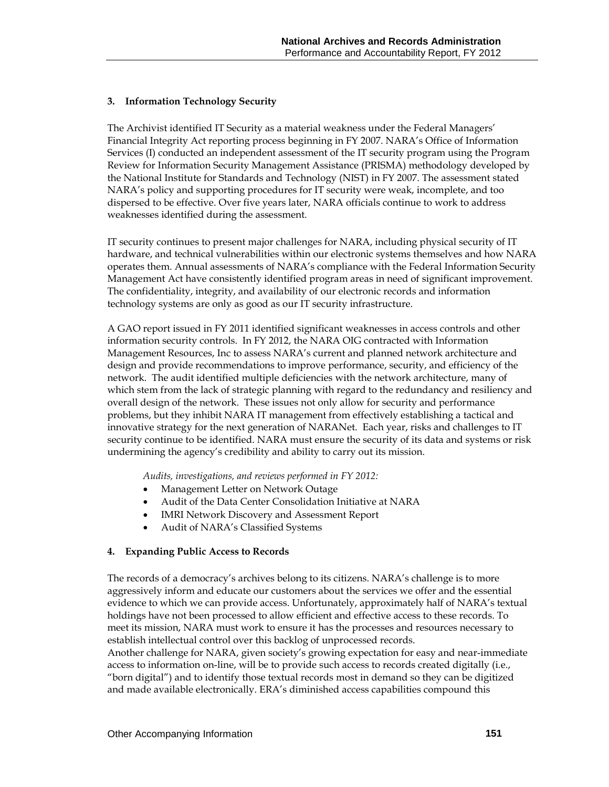#### **3. Information Technology Security**

The Archivist identified IT Security as a material weakness under the Federal Managers' Financial Integrity Act reporting process beginning in FY 2007. NARA's Office of Information Services (I) conducted an independent assessment of the IT security program using the Program Review for Information Security Management Assistance (PRISMA) methodology developed by the National Institute for Standards and Technology (NIST) in FY 2007. The assessment stated NARA's policy and supporting procedures for IT security were weak, incomplete, and too dispersed to be effective. Over five years later, NARA officials continue to work to address weaknesses identified during the assessment.

IT security continues to present major challenges for NARA, including physical security of IT hardware, and technical vulnerabilities within our electronic systems themselves and how NARA operates them. Annual assessments of NARA's compliance with the Federal Information Security Management Act have consistently identified program areas in need of significant improvement. The confidentiality, integrity, and availability of our electronic records and information technology systems are only as good as our IT security infrastructure.

A GAO report issued in FY 2011 identified significant weaknesses in access controls and other information security controls. In FY 2012, the NARA OIG contracted with Information Management Resources, Inc to assess NARA's current and planned network architecture and design and provide recommendations to improve performance, security, and efficiency of the network. The audit identified multiple deficiencies with the network architecture, many of which stem from the lack of strategic planning with regard to the redundancy and resiliency and overall design of the network. These issues not only allow for security and performance problems, but they inhibit NARA IT management from effectively establishing a tactical and innovative strategy for the next generation of NARANet. Each year, risks and challenges to IT security continue to be identified. NARA must ensure the security of its data and systems or risk undermining the agency's credibility and ability to carry out its mission.

*Audits, investigations, and reviews performed in FY 2012:* 

- Management Letter on Network Outage
- Audit of the Data Center Consolidation Initiative at NARA
- IMRI Network Discovery and Assessment Report
- Audit of NARA's Classified Systems

#### **4. Expanding Public Access to Records**

The records of a democracy's archives belong to its citizens. NARA's challenge is to more aggressively inform and educate our customers about the services we offer and the essential evidence to which we can provide access. Unfortunately, approximately half of NARA's textual holdings have not been processed to allow efficient and effective access to these records. To meet its mission, NARA must work to ensure it has the processes and resources necessary to establish intellectual control over this backlog of unprocessed records.

Another challenge for NARA, given society's growing expectation for easy and near-immediate access to information on-line, will be to provide such access to records created digitally (i.e., "born digital") and to identify those textual records most in demand so they can be digitized and made available electronically. ERA's diminished access capabilities compound this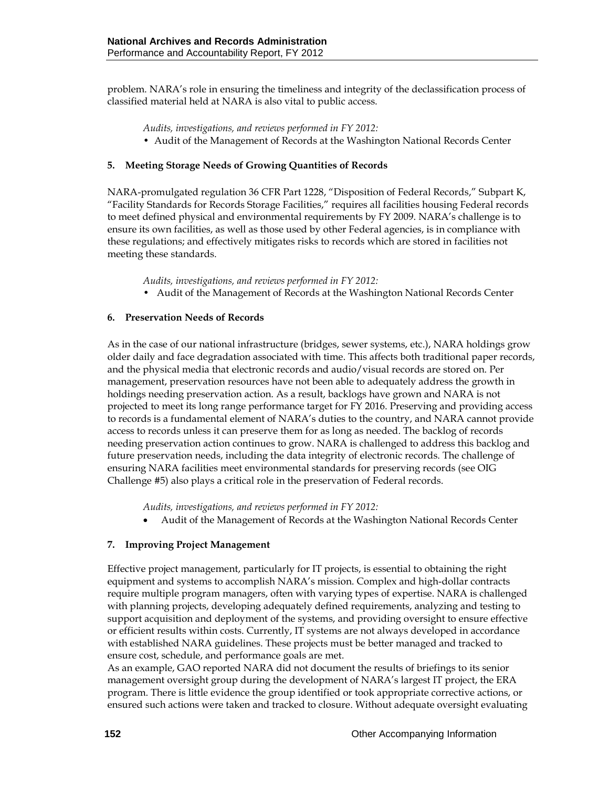problem. NARA's role in ensuring the timeliness and integrity of the declassification process of classified material held at NARA is also vital to public access.

*Audits, investigations, and reviews performed in FY 2012:* 

• Audit of the Management of Records at the Washington National Records Center

#### **5. Meeting Storage Needs of Growing Quantities of Records**

NARA-promulgated regulation 36 CFR Part 1228, "Disposition of Federal Records," Subpart K, "Facility Standards for Records Storage Facilities," requires all facilities housing Federal records to meet defined physical and environmental requirements by FY 2009. NARA's challenge is to ensure its own facilities, as well as those used by other Federal agencies, is in compliance with these regulations; and effectively mitigates risks to records which are stored in facilities not meeting these standards.

*Audits, investigations, and reviews performed in FY 2012:* 

• Audit of the Management of Records at the Washington National Records Center

#### **6. Preservation Needs of Records**

As in the case of our national infrastructure (bridges, sewer systems, etc.), NARA holdings grow older daily and face degradation associated with time. This affects both traditional paper records, and the physical media that electronic records and audio/visual records are stored on. Per management, preservation resources have not been able to adequately address the growth in holdings needing preservation action. As a result, backlogs have grown and NARA is not projected to meet its long range performance target for FY 2016. Preserving and providing access to records is a fundamental element of NARA's duties to the country, and NARA cannot provide access to records unless it can preserve them for as long as needed. The backlog of records needing preservation action continues to grow. NARA is challenged to address this backlog and future preservation needs, including the data integrity of electronic records. The challenge of ensuring NARA facilities meet environmental standards for preserving records (see OIG Challenge #5) also plays a critical role in the preservation of Federal records.

*Audits, investigations, and reviews performed in FY 2012:* 

• Audit of the Management of Records at the Washington National Records Center

#### **7. Improving Project Management**

Effective project management, particularly for IT projects, is essential to obtaining the right equipment and systems to accomplish NARA's mission. Complex and high-dollar contracts require multiple program managers, often with varying types of expertise. NARA is challenged with planning projects, developing adequately defined requirements, analyzing and testing to support acquisition and deployment of the systems, and providing oversight to ensure effective or efficient results within costs. Currently, IT systems are not always developed in accordance with established NARA guidelines. These projects must be better managed and tracked to ensure cost, schedule, and performance goals are met.

As an example, GAO reported NARA did not document the results of briefings to its senior management oversight group during the development of NARA's largest IT project, the ERA program. There is little evidence the group identified or took appropriate corrective actions, or ensured such actions were taken and tracked to closure. Without adequate oversight evaluating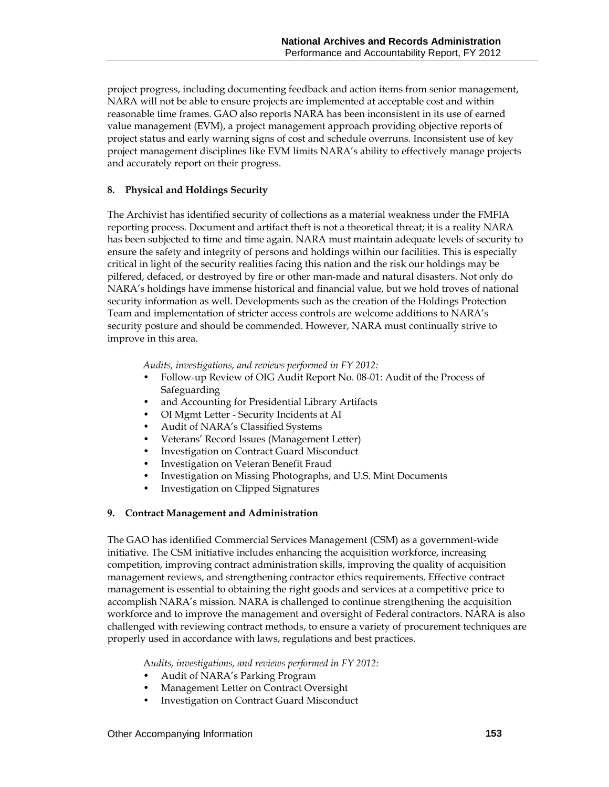project progress, including documenting feedback and action items from senior management, NARA will not be able to ensure projects are implemented at acceptable cost and within reasonable time frames. GAO also reports NARA has been inconsistent in its use of earned value management (EVM), a project management approach providing objective reports of project status and early warning signs of cost and schedule overruns. Inconsistent use of key project management disciplines like EVM limits NARA's ability to effectively manage projects and accurately report on their progress.

#### **8. Physical and Holdings Security**

The Archivist has identified security of collections as a material weakness under the FMFIA reporting process. Document and artifact theft is not a theoretical threat; it is a reality NARA has been subjected to time and time again. NARA must maintain adequate levels of security to ensure the safety and integrity of persons and holdings within our facilities. This is especially critical in light of the security realities facing this nation and the risk our holdings may be pilfered, defaced, or destroyed by fire or other man-made and natural disasters. Not only do NARA's holdings have immense historical and financial value, but we hold troves of national security information as well. Developments such as the creation of the Holdings Protection Team and implementation of stricter access controls are welcome additions to NARA's security posture and should be commended. However, NARA must continually strive to improve in this area.

*Audits, investigations, and reviews performed in FY 2012:* 

- Follow-up Review of OIG Audit Report No. 08-01: Audit of the Process of Safeguarding
- and Accounting for Presidential Library Artifacts
- OI Mgmt Letter Security Incidents at AI
- Audit of NARA's Classified Systems
- Veterans' Record Issues (Management Letter)
- Investigation on Contract Guard Misconduct
- Investigation on Veteran Benefit Fraud
- Investigation on Missing Photographs, and U.S. Mint Documents
- Investigation on Clipped Signatures

#### **9. Contract Management and Administration**

The GAO has identified Commercial Services Management (CSM) as a government-wide initiative. The CSM initiative includes enhancing the acquisition workforce, increasing competition, improving contract administration skills, improving the quality of acquisition management reviews, and strengthening contractor ethics requirements. Effective contract management is essential to obtaining the right goods and services at a competitive price to accomplish NARA's mission. NARA is challenged to continue strengthening the acquisition workforce and to improve the management and oversight of Federal contractors. NARA is also challenged with reviewing contract methods, to ensure a variety of procurement techniques are properly used in accordance with laws, regulations and best practices.

A*udits, investigations, and reviews performed in FY 2012:* 

- Audit of NARA's Parking Program
- Management Letter on Contract Oversight
- Investigation on Contract Guard Misconduct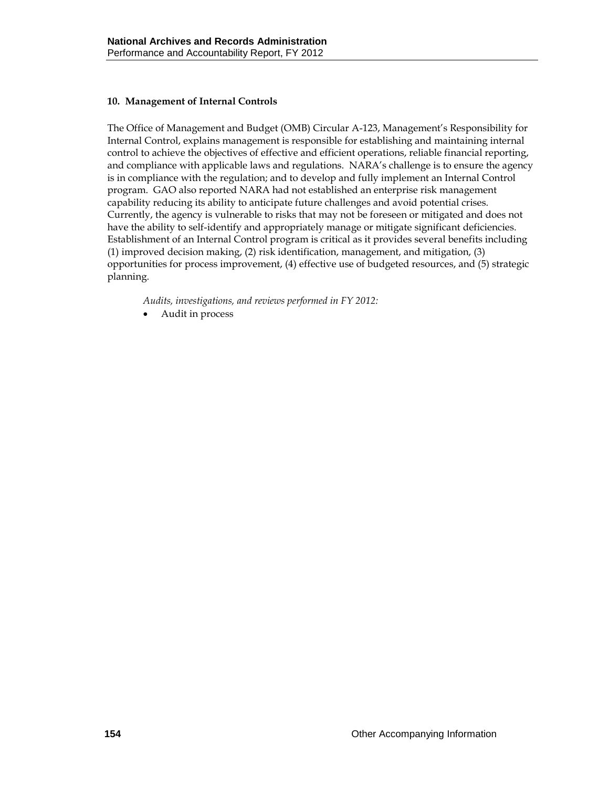#### **10. Management of Internal Controls**

The Office of Management and Budget (OMB) Circular A-123, Management's Responsibility for Internal Control, explains management is responsible for establishing and maintaining internal control to achieve the objectives of effective and efficient operations, reliable financial reporting, and compliance with applicable laws and regulations. NARA's challenge is to ensure the agency is in compliance with the regulation; and to develop and fully implement an Internal Control program. GAO also reported NARA had not established an enterprise risk management capability reducing its ability to anticipate future challenges and avoid potential crises. Currently, the agency is vulnerable to risks that may not be foreseen or mitigated and does not have the ability to self-identify and appropriately manage or mitigate significant deficiencies. Establishment of an Internal Control program is critical as it provides several benefits including (1) improved decision making, (2) risk identification, management, and mitigation, (3) opportunities for process improvement, (4) effective use of budgeted resources, and (5) strategic planning.

*Audits, investigations, and reviews performed in FY 2012:* 

• Audit in process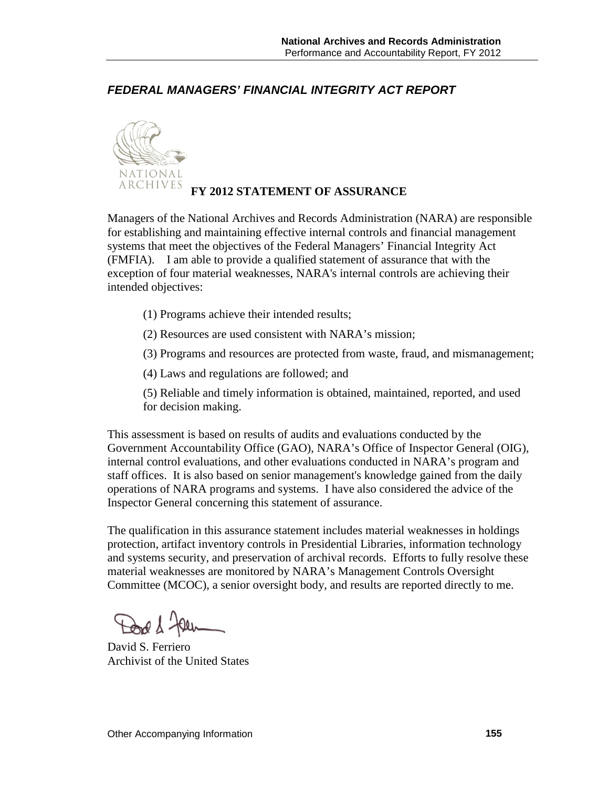*FEDERAL MANAGERS' FINANCIAL INTEGRITY ACT REPORT*



## **FY 2012 STATEMENT OF ASSURANCE**

Managers of the National Archives and Records Administration (NARA) are responsible for establishing and maintaining effective internal controls and financial management systems that meet the objectives of the Federal Managers' Financial Integrity Act (FMFIA). I am able to provide a qualified statement of assurance that with the exception of four material weaknesses, NARA's internal controls are achieving their intended objectives:

- (1) Programs achieve their intended results;
- (2) Resources are used consistent with NARA's mission;
- (3) Programs and resources are protected from waste, fraud, and mismanagement;
- (4) Laws and regulations are followed; and
- (5) Reliable and timely information is obtained, maintained, reported, and used for decision making.

This assessment is based on results of audits and evaluations conducted by the Government Accountability Office (GAO), NARA's Office of Inspector General (OIG), internal control evaluations, and other evaluations conducted in NARA's program and staff offices. It is also based on senior management's knowledge gained from the daily operations of NARA programs and systems. I have also considered the advice of the Inspector General concerning this statement of assurance.

The qualification in this assurance statement includes material weaknesses in holdings protection, artifact inventory controls in Presidential Libraries, information technology and systems security, and preservation of archival records. Efforts to fully resolve these material weaknesses are monitored by NARA's Management Controls Oversight Committee (MCOC), a senior oversight body, and results are reported directly to me.

Dod & Jaen

David S. Ferriero Archivist of the United States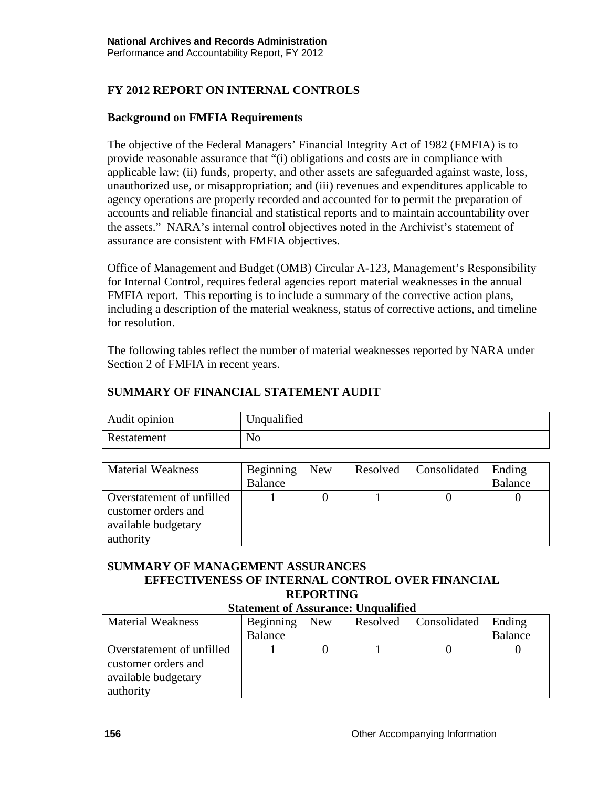# **FY 2012 REPORT ON INTERNAL CONTROLS**

### **Background on FMFIA Requirements**

The objective of the Federal Managers' Financial Integrity Act of 1982 (FMFIA) is to provide reasonable assurance that "(i) obligations and costs are in compliance with applicable law; (ii) funds, property, and other assets are safeguarded against waste, loss, unauthorized use, or misappropriation; and (iii) revenues and expenditures applicable to agency operations are properly recorded and accounted for to permit the preparation of accounts and reliable financial and statistical reports and to maintain accountability over the assets." NARA's internal control objectives noted in the Archivist's statement of assurance are consistent with FMFIA objectives.

Office of Management and Budget (OMB) Circular A-123, Management's Responsibility for Internal Control, requires federal agencies report material weaknesses in the annual FMFIA report. This reporting is to include a summary of the corrective action plans, including a description of the material weakness, status of corrective actions, and timeline for resolution.

The following tables reflect the number of material weaknesses reported by NARA under Section 2 of FMFIA in recent years.

### **SUMMARY OF FINANCIAL STATEMENT AUDIT**

| Audit opinion | Unqualified    |
|---------------|----------------|
| Restatement   | N <sub>o</sub> |

| <b>Material Weakness</b>  | Beginning | <b>New</b> | Resolved | Consolidated | Ending         |
|---------------------------|-----------|------------|----------|--------------|----------------|
|                           | Balance   |            |          |              | <b>Balance</b> |
| Overstatement of unfilled |           |            |          |              |                |
| customer orders and       |           |            |          |              |                |
| available budgetary       |           |            |          |              |                |
| authority                 |           |            |          |              |                |

#### **SUMMARY OF MANAGEMENT ASSURANCES EFFECTIVENESS OF INTERNAL CONTROL OVER FINANCIAL REPORTING Statement of Assurance: Unqualified**

| Statement of Assurance. Unquanned |           |            |          |              |                |  |
|-----------------------------------|-----------|------------|----------|--------------|----------------|--|
| <b>Material Weakness</b>          | Beginning | <b>New</b> | Resolved | Consolidated | Ending         |  |
|                                   | Balance   |            |          |              | <b>Balance</b> |  |
| Overstatement of unfilled         |           |            |          |              |                |  |
| customer orders and               |           |            |          |              |                |  |
| available budgetary               |           |            |          |              |                |  |
| authority                         |           |            |          |              |                |  |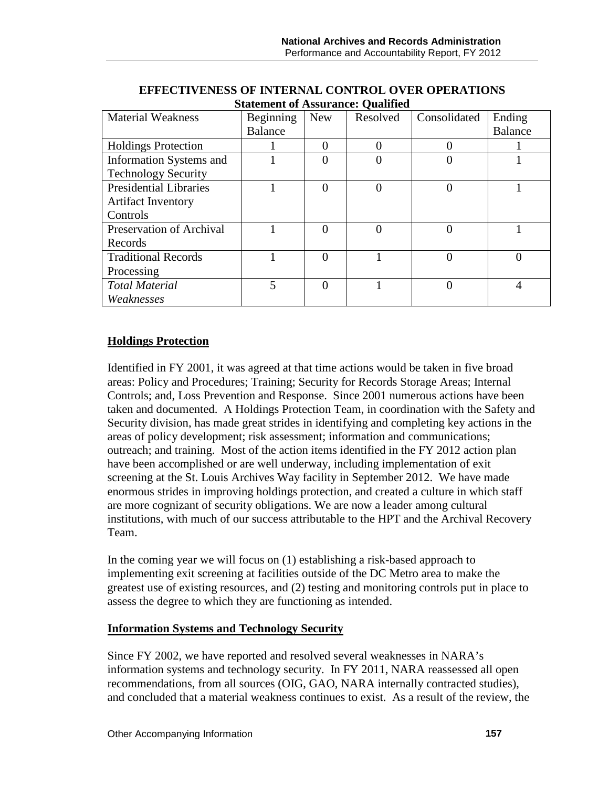| <b>Material Weakness</b>      | Beginning      | <b>New</b> | Resolved | Consolidated | Ending         |
|-------------------------------|----------------|------------|----------|--------------|----------------|
|                               | <b>Balance</b> |            |          |              | <b>Balance</b> |
| <b>Holdings Protection</b>    |                |            | 0        |              |                |
| Information Systems and       |                |            | 0        |              |                |
| <b>Technology Security</b>    |                |            |          |              |                |
| <b>Presidential Libraries</b> |                |            | 0        |              |                |
| <b>Artifact Inventory</b>     |                |            |          |              |                |
| Controls                      |                |            |          |              |                |
| Preservation of Archival      |                |            | 0        |              |                |
| Records                       |                |            |          |              |                |
| <b>Traditional Records</b>    |                |            |          |              |                |
| Processing                    |                |            |          |              |                |
| <b>Total Material</b>         | 5              |            |          |              |                |
| Weaknesses                    |                |            |          |              |                |

### **EFFECTIVENESS OF INTERNAL CONTROL OVER OPERATIONS Statement of Assurance: Qualified**

## **Holdings Protection**

Identified in FY 2001, it was agreed at that time actions would be taken in five broad areas: Policy and Procedures; Training; Security for Records Storage Areas; Internal Controls; and, Loss Prevention and Response. Since 2001 numerous actions have been taken and documented. A Holdings Protection Team, in coordination with the Safety and Security division, has made great strides in identifying and completing key actions in the areas of policy development; risk assessment; information and communications; outreach; and training. Most of the action items identified in the FY 2012 action plan have been accomplished or are well underway, including implementation of exit screening at the St. Louis Archives Way facility in September 2012. We have made enormous strides in improving holdings protection, and created a culture in which staff are more cognizant of security obligations. We are now a leader among cultural institutions, with much of our success attributable to the HPT and the Archival Recovery Team.

In the coming year we will focus on (1) establishing a risk-based approach to implementing exit screening at facilities outside of the DC Metro area to make the greatest use of existing resources, and (2) testing and monitoring controls put in place to assess the degree to which they are functioning as intended.

### **Information Systems and Technology Security**

Since FY 2002, we have reported and resolved several weaknesses in NARA's information systems and technology security. In FY 2011, NARA reassessed all open recommendations, from all sources (OIG, GAO, NARA internally contracted studies), and concluded that a material weakness continues to exist. As a result of the review, the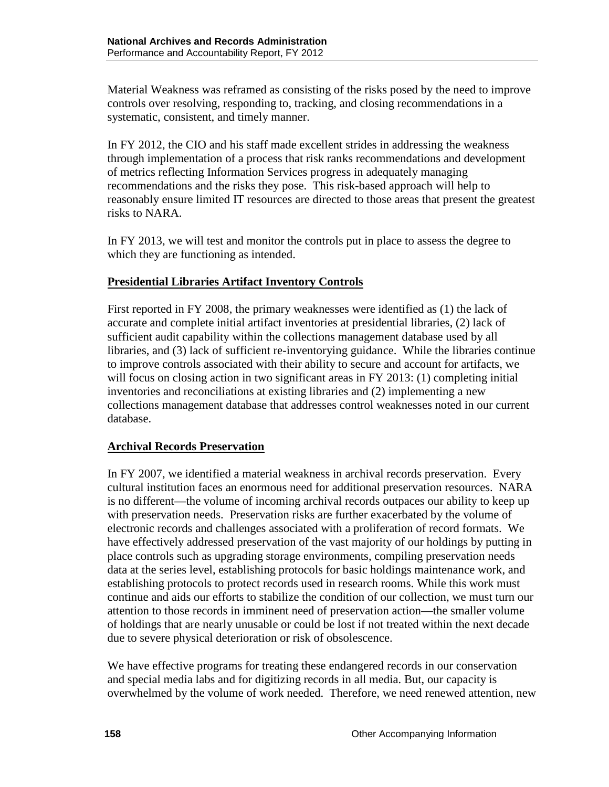Material Weakness was reframed as consisting of the risks posed by the need to improve controls over resolving, responding to, tracking, and closing recommendations in a systematic, consistent, and timely manner.

In FY 2012, the CIO and his staff made excellent strides in addressing the weakness through implementation of a process that risk ranks recommendations and development of metrics reflecting Information Services progress in adequately managing recommendations and the risks they pose. This risk-based approach will help to reasonably ensure limited IT resources are directed to those areas that present the greatest risks to NARA.

In FY 2013, we will test and monitor the controls put in place to assess the degree to which they are functioning as intended.

### **Presidential Libraries Artifact Inventory Controls**

First reported in FY 2008, the primary weaknesses were identified as (1) the lack of accurate and complete initial artifact inventories at presidential libraries, (2) lack of sufficient audit capability within the collections management database used by all libraries, and (3) lack of sufficient re-inventorying guidance. While the libraries continue to improve controls associated with their ability to secure and account for artifacts, we will focus on closing action in two significant areas in FY 2013: (1) completing initial inventories and reconciliations at existing libraries and (2) implementing a new collections management database that addresses control weaknesses noted in our current database.

### **Archival Records Preservation**

In FY 2007, we identified a material weakness in archival records preservation. Every cultural institution faces an enormous need for additional preservation resources. NARA is no different—the volume of incoming archival records outpaces our ability to keep up with preservation needs. Preservation risks are further exacerbated by the volume of electronic records and challenges associated with a proliferation of record formats. We have effectively addressed preservation of the vast majority of our holdings by putting in place controls such as upgrading storage environments, compiling preservation needs data at the series level, establishing protocols for basic holdings maintenance work, and establishing protocols to protect records used in research rooms. While this work must continue and aids our efforts to stabilize the condition of our collection, we must turn our attention to those records in imminent need of preservation action—the smaller volume of holdings that are nearly unusable or could be lost if not treated within the next decade due to severe physical deterioration or risk of obsolescence.

We have effective programs for treating these endangered records in our conservation and special media labs and for digitizing records in all media. But, our capacity is overwhelmed by the volume of work needed. Therefore, we need renewed attention, new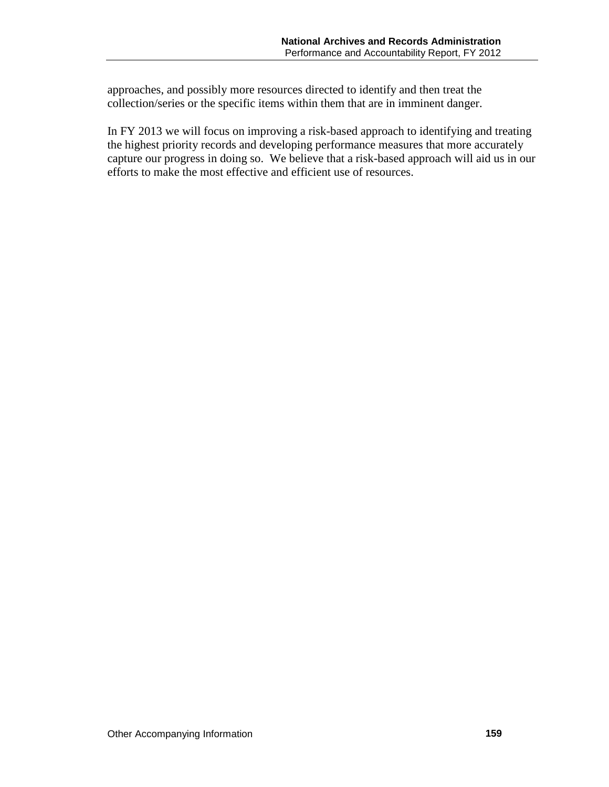approaches, and possibly more resources directed to identify and then treat the collection/series or the specific items within them that are in imminent danger.

In FY 2013 we will focus on improving a risk-based approach to identifying and treating the highest priority records and developing performance measures that more accurately capture our progress in doing so. We believe that a risk-based approach will aid us in our efforts to make the most effective and efficient use of resources.